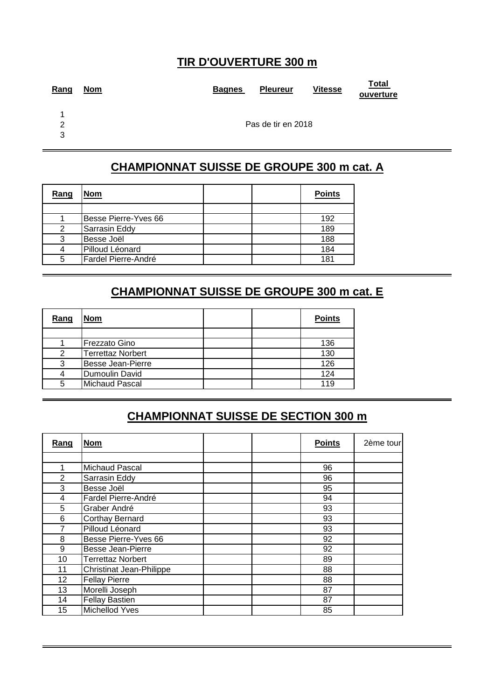#### **TIR D'OUVERTURE 300 m**

| Rang | <b>Nom</b> | <b>Bagnes</b> | <b>Pleureur</b>    | <b>Vitesse</b> | Total<br>ouverture |
|------|------------|---------------|--------------------|----------------|--------------------|
| 1    |            |               |                    |                |                    |
| ာ    |            |               | Pas de tir en 2018 |                |                    |
| 3    |            |               |                    |                |                    |
|      |            |               |                    |                |                    |

#### **CHAMPIONNAT SUISSE DE GROUPE 300 m cat. A**

| Rang | <b>Nom</b>           | <b>Points</b> |
|------|----------------------|---------------|
|      |                      |               |
|      | Besse Pierre-Yves 66 | 192           |
| 2    | Sarrasin Eddy        | 189           |
| 3    | Besse Joël           | 188           |
|      | Pilloud Léonard      | 184           |
| 5    | Fardel Pierre-André  | 181           |

#### **CHAMPIONNAT SUISSE DE GROUPE 300 m cat. E**

| Rang | <b>Nom</b>               |  | <b>Points</b> |
|------|--------------------------|--|---------------|
|      |                          |  |               |
|      | Frezzato Gino            |  | 136           |
| 2    | <b>Terrettaz Norbert</b> |  | 130           |
| າ    | <b>Besse Jean-Pierre</b> |  | 126           |
|      | Dumoulin David           |  | 124           |
| 5    | <b>Michaud Pascal</b>    |  | 119           |

#### **CHAMPIONNAT SUISSE DE SECTION 300 m**

| Rang           | <b>Nom</b>                      | <b>Points</b> | 2ème tour |
|----------------|---------------------------------|---------------|-----------|
|                |                                 |               |           |
|                | Michaud Pascal                  | 96            |           |
| $\mathfrak{p}$ | Sarrasin Eddy                   | 96            |           |
| 3              | Besse Joël                      | 95            |           |
| 4              | Fardel Pierre-André             | 94            |           |
| 5              | Graber André                    | 93            |           |
| 6              | Corthay Bernard                 | 93            |           |
| 7              | Pilloud Léonard                 | 93            |           |
| 8              | Besse Pierre-Yves 66            | 92            |           |
| 9              | <b>Besse Jean-Pierre</b>        | 92            |           |
| 10             | <b>Terrettaz Norbert</b>        | 89            |           |
| 11             | <b>Christinat Jean-Philippe</b> | 88            |           |
| 12             | <b>Fellay Pierre</b>            | 88            |           |
| 13             | Morelli Joseph                  | 87            |           |
| 14             | <b>Fellay Bastien</b>           | 87            |           |
| 15             | Michellod Yves                  | 85            |           |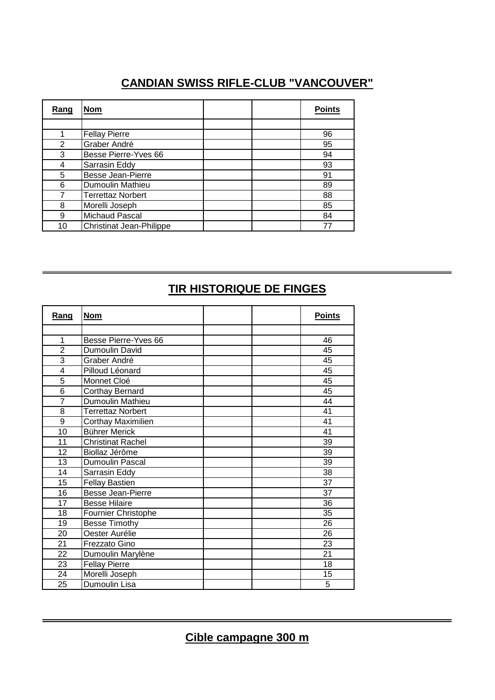### **CANDIAN SWISS RIFLE-CLUB "VANCOUVER"**

| Rang | <b>Nom</b>                      | <b>Points</b> |
|------|---------------------------------|---------------|
|      |                                 |               |
|      | <b>Fellay Pierre</b>            | 96            |
| 2    | Graber André                    | 95            |
| 3    | Besse Pierre-Yves 66            | 94            |
|      | Sarrasin Eddy                   | 93            |
| 5    | <b>Besse Jean-Pierre</b>        | 91            |
| 6    | Dumoulin Mathieu                | 89            |
|      | <b>Terrettaz Norbert</b>        | 88            |
| 8    | Morelli Joseph                  | 85            |
| 9    | Michaud Pascal                  | 84            |
| 10   | <b>Christinat Jean-Philippe</b> |               |

### **TIR HISTORIQUE DE FINGES**

| <u>Rang</u>    | <b>Nom</b>                | <b>Points</b> |
|----------------|---------------------------|---------------|
|                |                           |               |
| 1              | Besse Pierre-Yves 66      | 46            |
| $\overline{2}$ | Dumoulin David            | 45            |
| 3              | Graber André              | 45            |
| 4              | Pilloud Léonard           | 45            |
| $\overline{5}$ | Monnet Cloé               | 45            |
| 6              | Corthay Bernard           | 45            |
| $\overline{7}$ | Dumoulin Mathieu          | 44            |
| 8              | <b>Terrettaz Norbert</b>  | 41            |
| 9              | <b>Corthay Maximilien</b> | 41            |
| 10             | <b>Bührer Merick</b>      | 41            |
| 11             | <b>Christinat Rachel</b>  | 39            |
| 12             | Biollaz Jérôme            | 39            |
| 13             | <b>Dumoulin Pascal</b>    | 39            |
| 14             | Sarrasin Eddy             | 38            |
| 15             | <b>Fellay Bastien</b>     | 37            |
| 16             | Besse Jean-Pierre         | 37            |
| 17             | <b>Besse Hilaire</b>      | 36            |
| 18             | Fournier Christophe       | 35            |
| 19             | <b>Besse Timothy</b>      | 26            |
| 20             | Oester Aurélie            | 26            |
| 21             | Frezzato Gino             | 23            |
| 22             | Dumoulin Marylène         | 21            |
| 23             | <b>Fellay Pierre</b>      | 18            |
| 24             | Morelli Joseph            | 15            |
| 25             | Dumoulin Lisa             | 5             |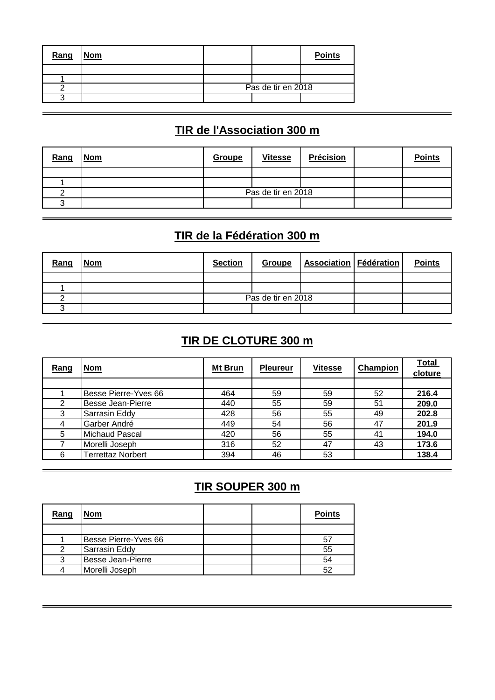| Rang | <b>Nom</b> |                    | <b>Points</b> |
|------|------------|--------------------|---------------|
|      |            |                    |               |
|      |            |                    |               |
|      |            | Pas de tir en 2018 |               |
|      |            |                    |               |

## **TIR de l'Association 300 m**

| <b>Nom</b> | Groupe | <b>Vitesse</b>     | <b>Précision</b> |  | <b>Points</b> |
|------------|--------|--------------------|------------------|--|---------------|
|            |        |                    |                  |  |               |
|            |        |                    |                  |  |               |
|            |        | Pas de tir en 2018 |                  |  |               |
|            |        |                    |                  |  |               |
|            |        |                    |                  |  |               |

## **TIR de la Fédération 300 m**

| Rang | <b>Nom</b> | <b>Section</b> | Groupe             | <b>Association   Fédération  </b> | <b>Points</b> |
|------|------------|----------------|--------------------|-----------------------------------|---------------|
|      |            |                |                    |                                   |               |
|      |            |                |                    |                                   |               |
|      |            |                | Pas de tir en 2018 |                                   |               |
|      |            |                |                    |                                   |               |

#### **TIR DE CLOTURE 300 m**

| Rang | <b>Nom</b>               | Mt Brun | <b>Pleureur</b> | <b>Vitesse</b> | Champion | <b>Total</b><br>cloture |
|------|--------------------------|---------|-----------------|----------------|----------|-------------------------|
|      |                          |         |                 |                |          |                         |
|      | Besse Pierre-Yves 66     | 464     | 59              | 59             | 52       | 216.4                   |
| 2    | <b>Besse Jean-Pierre</b> | 440     | 55              | 59             | 51       | 209.0                   |
| 3    | Sarrasin Eddy            | 428     | 56              | 55             | 49       | 202.8                   |
| 4    | Garber André             | 449     | 54              | 56             | 47       | 201.9                   |
| 5    | <b>Michaud Pascal</b>    | 420     | 56              | 55             | 41       | 194.0                   |
|      | Morelli Joseph           | 316     | 52              | 47             | 43       | 173.6                   |
| 6    | <b>Terrettaz Norbert</b> | 394     | 46              | 53             |          | 138.4                   |

### **TIR SOUPER 300 m**

| Rang | Nom                  |  | <b>Points</b> |
|------|----------------------|--|---------------|
|      |                      |  |               |
|      | Besse Pierre-Yves 66 |  | 51            |
| 2    | Sarrasin Eddy        |  | 55            |
| ว    | Besse Jean-Pierre    |  | 54            |
|      | Morelli Joseph       |  | 52            |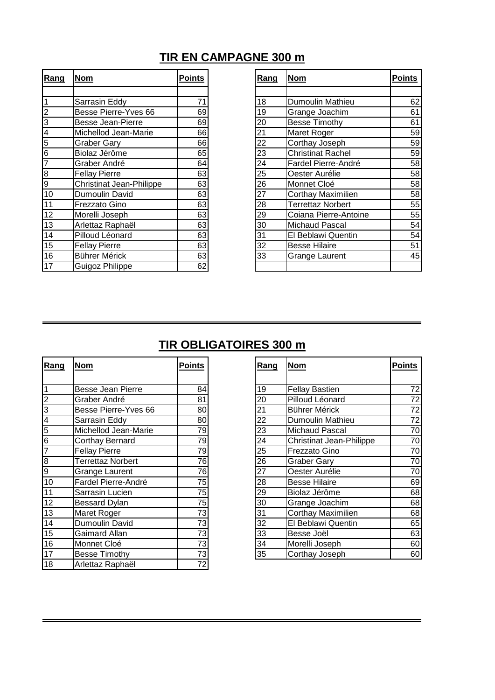#### **TIR EN CAMPAGNE 300 m**

| Rang           | <u>Nom</u>                      | <b>Points</b> | <u>Rang</u> | <u>Nom</u>                | <b>Points</b> |
|----------------|---------------------------------|---------------|-------------|---------------------------|---------------|
|                |                                 |               |             |                           |               |
| 1              | Sarrasin Eddy                   | 71            | 18          | Dumoulin Mathieu          | 62            |
| $\overline{2}$ | Besse Pierre-Yves 66            | 69            | 19          | Grange Joachim            | 61            |
| 3              | <b>Besse Jean-Pierre</b>        | 69            | 20          | Besse Timothy             | 61            |
| 4              | Michellod Jean-Marie            | 66            | 21          | Maret Roger               | 59            |
| 5              | <b>Graber Gary</b>              | 66            | 22          | Corthay Joseph            | 59            |
| 6              | Biolaz Jérôme                   | 65            | 23          | <b>Christinat Rachel</b>  | 59            |
| $\overline{7}$ | Graber André                    | 64            | 24          | Fardel Pierre-André       | 58            |
| 8              | <b>Fellay Pierre</b>            | 63            | 25          | Oester Aurélie            | 58            |
| $\overline{9}$ | <b>Christinat Jean-Philippe</b> | 63            | 26          | Monnet Cloé               | 58            |
| 10             | Dumoulin David                  | 63            | 27          | <b>Corthay Maximilien</b> | 58            |
| 11             | Frezzato Gino                   | 63            | 28          | <b>Terrettaz Norbert</b>  | 55            |
| 12             | Morelli Joseph                  | 63            | 29          | Coiana Pierre-Antoine     | 55            |
| 13             | Arlettaz Raphaël                | 63            | 30          | Michaud Pascal            | 54            |
| 14             | Pilloud Léonard                 | 63            | 31          | El Beblawi Quentin        | 54            |
| 15             | <b>Fellay Pierre</b>            | 63            | 32          | <b>Besse Hilaire</b>      | 51            |
| 16             | Bührer Mérick                   | 63            | 33          | <b>Grange Laurent</b>     | 45            |
| 17             | Guigoz Philippe                 | 62            |             |                           |               |

| <u>Rang</u>     | <u>Nom</u>                | <b>Points</b>   |
|-----------------|---------------------------|-----------------|
|                 |                           |                 |
| 18              | Dumoulin Mathieu          | 62              |
| 19              | Grange Joachim            | 61              |
| 20              | <b>Besse Timothy</b>      | 61              |
| 21              | Maret Roger               | 59              |
| $\overline{22}$ | Corthay Joseph            | 59              |
| 23              | <b>Christinat Rachel</b>  | 59              |
| $\overline{24}$ | Fardel Pierre-André       | 58              |
| 25              | Oester Aurélie            | 58              |
| 26              | Monnet Cloé               | 58              |
| 27              | <b>Corthay Maximilien</b> | 58              |
| 28              | <b>Terrettaz Norbert</b>  | 55              |
| 29              | Coiana Pierre-Antoine     | 55              |
| 30              | <b>Michaud Pascal</b>     | 54              |
| 31              | El Beblawi Quentin        | 54              |
| 32              | <b>Besse Hilaire</b>      | $\overline{51}$ |
| 33              | <b>Grange Laurent</b>     | 45              |
|                 |                           |                 |

### **TIR OBLIGATOIRES 300 m**

| Rang                    | <b>Nom</b>               | <b>Points</b> | Rang | <b>Nom</b>                      | <b>Points</b> |
|-------------------------|--------------------------|---------------|------|---------------------------------|---------------|
|                         |                          |               |      |                                 |               |
| $\mathbf{1}$            | <b>Besse Jean Pierre</b> | 84            | 19   | <b>Fellay Bastien</b>           | 72            |
| $\overline{\mathbf{c}}$ | Graber André             | 81            | 20   | Pilloud Léonard                 | 72            |
| $\overline{3}$          | Besse Pierre-Yves 66     | 80            | 21   | Bührer Mérick                   | 72            |
| $\overline{4}$          | Sarrasin Eddy            | 80            | 22   | Dumoulin Mathieu                | 72            |
| $\overline{5}$          | Michellod Jean-Marie     | 79            | 23   | <b>Michaud Pascal</b>           | 70            |
| $\overline{6}$          | Corthay Bernard          | 79            | 24   | <b>Christinat Jean-Philippe</b> | 70            |
| 7                       | <b>Fellay Pierre</b>     | 79            | 25   | Frezzato Gino                   | 70            |
| $\bf8$                  | Terrettaz Norbert        | 76            | 26   | <b>Graber Gary</b>              | 70            |
| $\overline{9}$          | Grange Laurent           | 76            | 27   | Oester Aurélie                  | 70            |
| $\overline{10}$         | Fardel Pierre-André      | 75            | 28   | <b>Besse Hilaire</b>            | 69            |
| 11                      | Sarrasin Lucien          | 75            | 29   | Biolaz Jérôme                   | 68            |
| 12                      | Bessard Dylan            | 75            | 30   | Grange Joachim                  | 68            |
| 13                      | Maret Roger              | 73            | 31   | <b>Corthay Maximilien</b>       | 68            |
| 14                      | Dumoulin David           | 73            | 32   | El Beblawi Quentin              | 65            |
| 15                      | Gaimard Allan            | 73            | 33   | Besse Joël                      | 63            |
| 16                      | Monnet Cloé              | 73            | 34   | Morelli Joseph                  | 60            |
| 17                      | <b>Besse Timothy</b>     | 73            | 35   | Corthay Joseph                  | 60            |
| 18                      | Arlettaz Raphaël         | 72            |      |                                 |               |

| <u>Rang</u>     | Nom                             | Points          |
|-----------------|---------------------------------|-----------------|
|                 |                                 |                 |
| 19              | <b>Fellay Bastien</b>           | 72              |
| 20              | Pilloud Léonard                 | $\overline{72}$ |
| $\overline{21}$ | Bührer Mérick                   | $\overline{72}$ |
| $\overline{22}$ | Dumoulin Mathieu                | $\overline{72}$ |
| $\overline{23}$ | <b>Michaud Pascal</b>           | 70              |
| $\overline{24}$ | <b>Christinat Jean-Philippe</b> | 70              |
| $\overline{25}$ | <b>Frezzato Gino</b>            | 70              |
| 26              | <b>Graber Gary</b>              | 70              |
| 27              | Oester Aurélie                  | 70              |
| $\overline{28}$ | <b>Besse Hilaire</b>            | 69              |
| $\overline{29}$ | Biolaz Jérôme                   | 68              |
| 30              | Grange Joachim                  | 68              |
| 31              | Corthay Maximilien              | 68              |
| $\overline{32}$ | El Beblawi Quentin              | 65              |
| 33              | Besse Joël                      | 63              |
| 34              | Morelli Joseph                  | 60              |
| 35              | Corthay Joseph                  | 60              |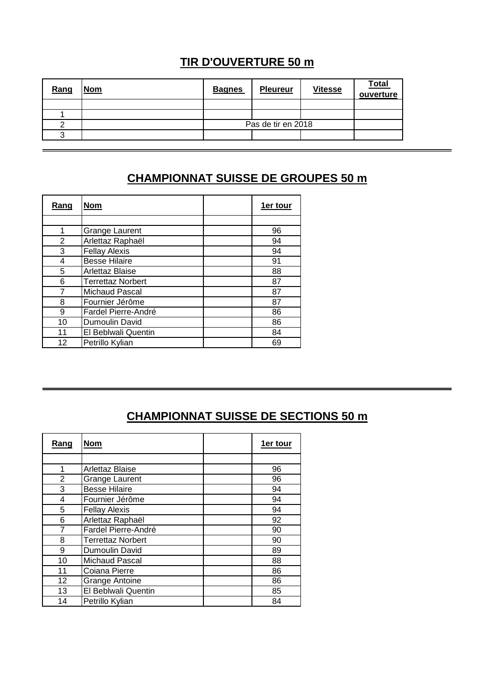### **TIR D'OUVERTURE 50 m**

| Rang | <b>Nom</b> | <b>Bagnes</b> | <b>Pleureur</b>    | <b>Vitesse</b> | <b>Total</b><br>ouverture |
|------|------------|---------------|--------------------|----------------|---------------------------|
|      |            |               |                    |                |                           |
|      |            |               |                    |                |                           |
|      |            |               | Pas de tir en 2018 |                |                           |
|      |            |               |                    |                |                           |

### **CHAMPIONNAT SUISSE DE GROUPES 50 m**

| <u>Rang</u>    | <b>Nom</b>               | <b>1er tour</b> |
|----------------|--------------------------|-----------------|
|                |                          |                 |
|                | <b>Grange Laurent</b>    | 96              |
| $\overline{2}$ | Arlettaz Raphaël         | 94              |
| 3              | <b>Fellay Alexis</b>     | 94              |
| 4              | <b>Besse Hilaire</b>     | 91              |
| 5              | Arlettaz Blaise          | 88              |
| 6              | <b>Terrettaz Norbert</b> | 87              |
|                | Michaud Pascal           | 87              |
| 8              | Fournier Jérôme          | 87              |
| 9              | Fardel Pierre-André      | 86              |
| 10             | Dumoulin David           | 86              |
| 11             | El Beblwali Quentin      | 84              |
| 12             | Petrillo Kylian          | 69              |

# **CHAMPIONNAT SUISSE DE SECTIONS 50 m**

| Rang | <b>Nom</b>               | 1er tour |
|------|--------------------------|----------|
|      |                          |          |
|      | Arlettaz Blaise          | 96       |
| 2    | <b>Grange Laurent</b>    | 96       |
| 3    | <b>Besse Hilaire</b>     | 94       |
| 4    | Fournier Jérôme          | 94       |
| 5    | <b>Fellay Alexis</b>     | 94       |
| 6    | Arlettaz Raphaël         | 92       |
| 7    | Fardel Pierre-André      | 90       |
| 8    | <b>Terrettaz Norbert</b> | 90       |
| 9    | Dumoulin David           | 89       |
| 10   | Michaud Pascal           | 88       |
| 11   | Coiana Pierre            | 86       |
| 12   | <b>Grange Antoine</b>    | 86       |
| 13   | El Beblwali Quentin      | 85       |
| 14   | Petrillo Kylian          | 84       |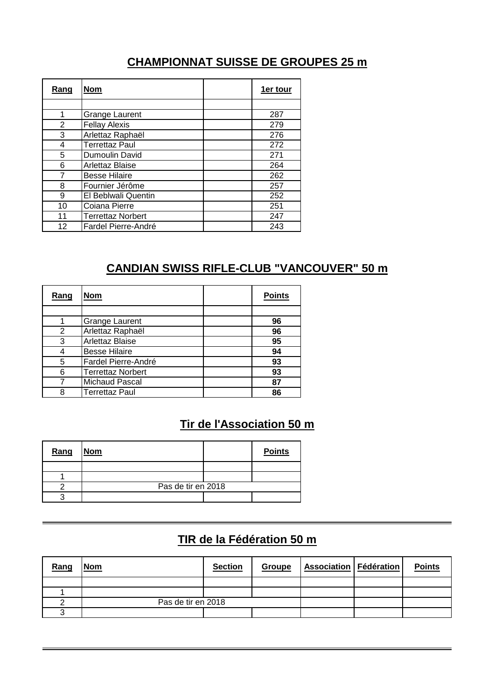#### **CHAMPIONNAT SUISSE DE GROUPES 25 m**

| Rang | <b>Nom</b>               | 1er tour |
|------|--------------------------|----------|
|      |                          |          |
| 1    | <b>Grange Laurent</b>    | 287      |
| 2    | <b>Fellay Alexis</b>     | 279      |
| 3    | Arlettaz Raphaël         | 276      |
| 4    | <b>Terrettaz Paul</b>    | 272      |
| 5    | Dumoulin David           | 271      |
| 6    | Arlettaz Blaise          | 264      |
|      | <b>Besse Hilaire</b>     | 262      |
| 8    | Fournier Jérôme          | 257      |
| 9    | El Beblwali Quentin      | 252      |
| 10   | Coiana Pierre            | 251      |
| 11   | <b>Terrettaz Norbert</b> | 247      |
| 12   | Fardel Pierre-André      | 243      |

#### **CANDIAN SWISS RIFLE-CLUB "VANCOUVER" 50 m**

| <u>Rang</u> | Nom                      | <b>Points</b> |
|-------------|--------------------------|---------------|
|             |                          |               |
|             | <b>Grange Laurent</b>    | 96            |
| 2           | Arlettaz Raphaël         | 96            |
| 3           | Arlettaz Blaise          | 95            |
|             | <b>Besse Hilaire</b>     | 94            |
| 5           | Fardel Pierre-André      | 93            |
| 6           | <b>Terrettaz Norbert</b> | 93            |
|             | Michaud Pascal           | 87            |
| 8           | <b>Terrettaz Paul</b>    | 86            |

#### **Tir de l'Association 50 m**

| Rang | <b>Nom</b>         | <b>Points</b> |
|------|--------------------|---------------|
|      |                    |               |
|      |                    |               |
|      | Pas de tir en 2018 |               |
|      |                    |               |

#### **TIR de la Fédération 50 m**

| Rang | <u>Nom</u>         | <b>Section</b> | Groupe | Association   Fédération | <b>Points</b> |
|------|--------------------|----------------|--------|--------------------------|---------------|
|      |                    |                |        |                          |               |
|      |                    |                |        |                          |               |
|      | Pas de tir en 2018 |                |        |                          |               |
|      |                    |                |        |                          |               |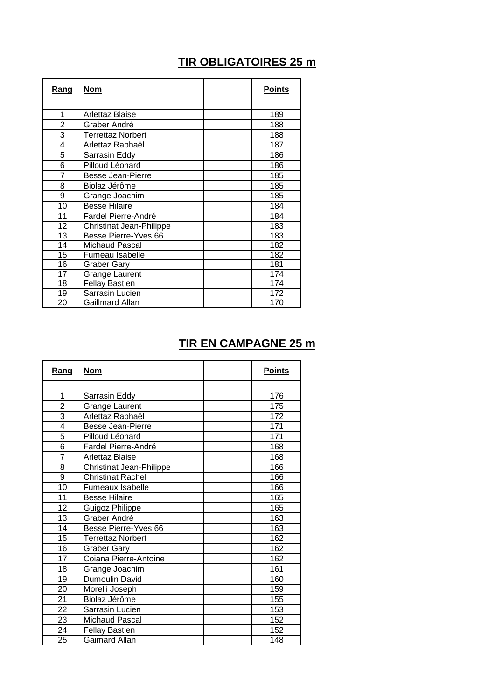### **TIR OBLIGATOIRES 25 m**

| Rang            | <b>Nom</b>                      | <b>Points</b> |
|-----------------|---------------------------------|---------------|
|                 |                                 |               |
| 1               | Arlettaz Blaise                 | 189           |
| $\overline{2}$  | Graber André                    | 188           |
| 3               | <b>Terrettaz Norbert</b>        | 188           |
| 4               | Arlettaz Raphaël                | 187           |
| 5               | Sarrasin Eddy                   | 186           |
| 6               | Pilloud Léonard                 | 186           |
| $\overline{7}$  | <b>Besse Jean-Pierre</b>        | 185           |
| 8               | Biolaz Jérôme                   | 185           |
| 9               | Grange Joachim                  | 185           |
| 10              | <b>Besse Hilaire</b>            | 184           |
| 11              | Fardel Pierre-André             | 184           |
| 12              | <b>Christinat Jean-Philippe</b> | 183           |
| 13              | Besse Pierre-Yves 66            | 183           |
| 14              | <b>Michaud Pascal</b>           | 182           |
| 15              | Fumeau Isabelle                 | 182           |
| 16              | <b>Graber Gary</b>              | 181           |
| $\overline{17}$ | <b>Grange Laurent</b>           | 174           |
| 18              | <b>Fellay Bastien</b>           | 174           |
| 19              | Sarrasin Lucien                 | 172           |
| 20              | Gaillmard Allan                 | 170           |

## **TIR EN CAMPAGNE 25 m**

| Rang           | <u>Nom</u>               | <b>Points</b> |
|----------------|--------------------------|---------------|
|                |                          |               |
| $\mathbf{1}$   | Sarrasin Eddy            | 176           |
| $\overline{2}$ | <b>Grange Laurent</b>    | 175           |
| $\overline{3}$ | Arlettaz Raphaël         | 172           |
| $\overline{4}$ | <b>Besse Jean-Pierre</b> | 171           |
| 5              | Pilloud Léonard          | 171           |
| 6              | Fardel Pierre-André      | 168           |
| $\overline{7}$ | Arlettaz Blaise          | 168           |
| $\overline{8}$ | Christinat Jean-Philippe | 166           |
| 9              | <b>Christinat Rachel</b> | 166           |
| 10             | Fumeaux Isabelle         | 166           |
| 11             | <b>Besse Hilaire</b>     | 165           |
| 12             | Guigoz Philippe          | 165           |
| 13             | Graber André             | 163           |
| 14             | Besse Pierre-Yves 66     | 163           |
| 15             | <b>Terrettaz Norbert</b> | 162           |
| 16             | <b>Graber Gary</b>       | 162           |
| 17             | Coiana Pierre-Antoine    | 162           |
| 18             | Grange Joachim           | 161           |
| 19             | Dumoulin David           | 160           |
| 20             | Morelli Joseph           | 159           |
| 21             | Biolaz Jérôme            | 155           |
| 22             | Sarrasin Lucien          | 153           |
| 23             | <b>Michaud Pascal</b>    | 152           |
| 24             | <b>Fellay Bastien</b>    | 152           |
| 25             | <b>Gaimard Allan</b>     | 148           |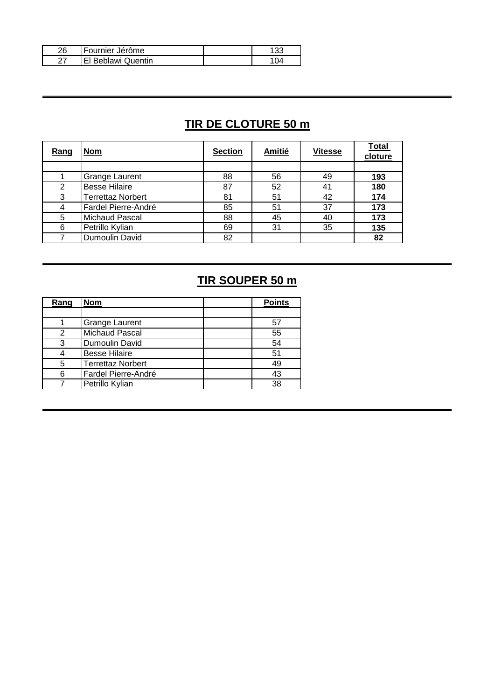| 26 | Fournier Jérôme           | 33 |
|----|---------------------------|----|
| ົ  | <b>El Beblawi Quentin</b> |    |

## **TIR DE CLOTURE 50 m**

| Rang | <b>Nom</b>               | <b>Section</b> | <b>Amitié</b> | <b>Vitesse</b> | <b>Total</b><br>cloture |
|------|--------------------------|----------------|---------------|----------------|-------------------------|
|      |                          |                |               |                |                         |
|      | Grange Laurent           | 88             | 56            | 49             | 193                     |
| 2    | <b>Besse Hilaire</b>     | 87             | 52            | 41             | 180                     |
| 3    | <b>Terrettaz Norbert</b> | 81             | 51            | 42             | 174                     |
| 4    | Fardel Pierre-André      | 85             | 51            | 37             | 173                     |
| 5    | <b>Michaud Pascal</b>    | 88             | 45            | 40             | 173                     |
| 6    | Petrillo Kylian          | 69             | 31            | 35             | 135                     |
|      | Dumoulin David           | 82             |               |                | 82                      |

## **TIR SOUPER 50 m**

| Rang | <b>Nom</b>               | <b>Points</b> |
|------|--------------------------|---------------|
|      |                          |               |
|      | <b>Grange Laurent</b>    | 57            |
| 2    | <b>Michaud Pascal</b>    | 55            |
| 3    | Dumoulin David           | 54            |
|      | <b>Besse Hilaire</b>     | 51            |
| 5    | <b>Terrettaz Norbert</b> | 49            |
| 6    | Fardel Pierre-André      | 43            |
|      | Petrillo Kylian          | 38            |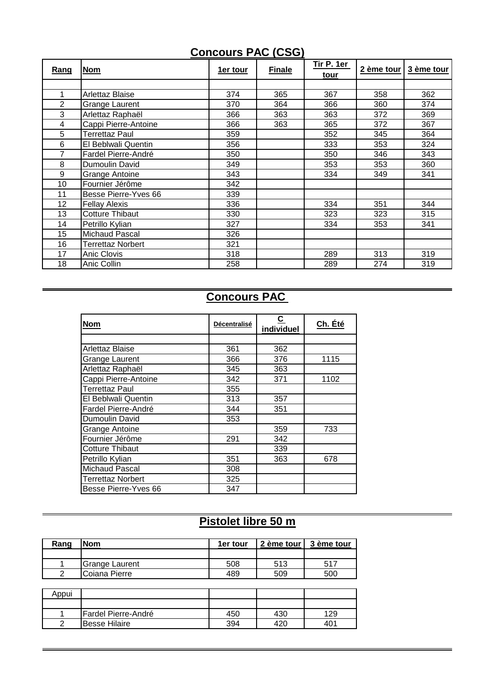#### **Concours PAC (CSG)**

| Rang           | <b>Nom</b>             | 1er tour | <b>Finale</b> | Tir P. 1er<br>tour | 2 ème tour | 3 ème tour |
|----------------|------------------------|----------|---------------|--------------------|------------|------------|
|                |                        |          |               |                    |            |            |
| 1              | Arlettaz Blaise        | 374      | 365           | 367                | 358        | 362        |
| $\overline{2}$ | Grange Laurent         | 370      | 364           | 366                | 360        | 374        |
| 3              | Arlettaz Raphaël       | 366      | 363           | 363                | 372        | 369        |
| 4              | Cappi Pierre-Antoine   | 366      | 363           | 365                | 372        | 367        |
| 5              | Terrettaz Paul         | 359      |               | 352                | 345        | 364        |
| 6              | El Beblwali Quentin    | 356      |               | 333                | 353        | 324        |
| 7              | Fardel Pierre-André    | 350      |               | 350                | 346        | 343        |
| 8              | Dumoulin David         | 349      |               | 353                | 353        | 360        |
| 9              | Grange Antoine         | 343      |               | 334                | 349        | 341        |
| 10             | Fournier Jérôme        | 342      |               |                    |            |            |
| 11             | Besse Pierre-Yves 66   | 339      |               |                    |            |            |
| 12             | <b>Fellay Alexis</b>   | 336      |               | 334                | 351        | 344        |
| 13             | <b>Cotture Thibaut</b> | 330      |               | 323                | 323        | 315        |
| 14             | Petrillo Kylian        | 327      |               | 334                | 353        | 341        |
| 15             | Michaud Pascal         | 326      |               |                    |            |            |
| 16             | Terrettaz Norbert      | 321      |               |                    |            |            |
| 17             | Anic Clovis            | 318      |               | 289                | 313        | 319        |
| 18             | Anic Collin            | 258      |               | 289                | 274        | 319        |

#### **Concours PAC**

| <b>Nom</b>             | <b>Décentralisé</b> | <u>c</u><br>individuel | Ch. Été |
|------------------------|---------------------|------------------------|---------|
|                        |                     |                        |         |
| Arlettaz Blaise        | 361                 | 362                    |         |
| Grange Laurent         | 366                 | 376                    | 1115    |
| Arlettaz Raphaël       | 345                 | 363                    |         |
| Cappi Pierre-Antoine   | 342                 | 371                    | 1102    |
| Terrettaz Paul         | 355                 |                        |         |
| El Beblwali Quentin    | 313                 | 357                    |         |
| Fardel Pierre-André    | 344                 | 351                    |         |
| Dumoulin David         | 353                 |                        |         |
| <b>Grange Antoine</b>  |                     | 359                    | 733     |
| Fournier Jérôme        | 291                 | 342                    |         |
| <b>Cotture Thibaut</b> |                     | 339                    |         |
| Petrillo Kylian        | 351                 | 363                    | 678     |
| <b>Michaud Pascal</b>  | 308                 |                        |         |
| Terrettaz Norbert      | 325                 |                        |         |
| Besse Pierre-Yves 66   | 347                 |                        |         |

# **Pistolet libre 50 m**

| Rang | lNom           | 1er tour |     | 2 ème tour l 3 ème tour |
|------|----------------|----------|-----|-------------------------|
|      |                |          |     |                         |
|      | Grange Laurent | 508      | 513 | 517                     |
| ົ    | ICoiana Pierre | 489      | 509 | 500                     |

| Appui |                      |     |     |     |
|-------|----------------------|-----|-----|-----|
|       |                      |     |     |     |
|       | Fardel Pierre-André  | 450 | 430 | 129 |
|       | <b>Besse Hilaire</b> | 394 | 42C | 40٬ |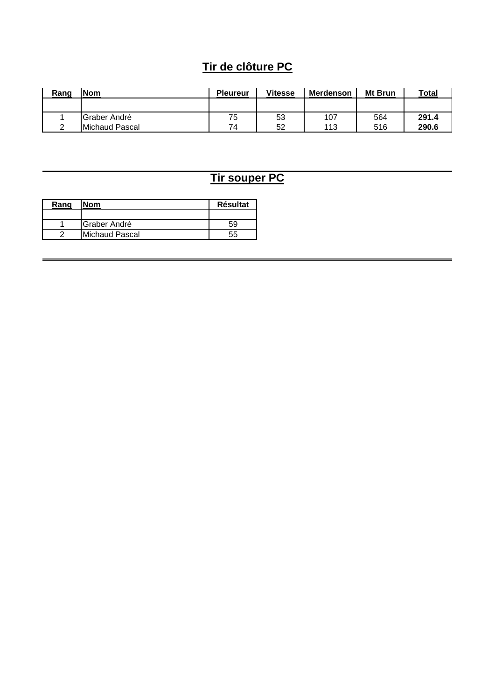### **Tir de clôture PC**

| Rang | <b>Nom</b>             | <b>Pleureur</b> | <b>Vitesse</b> | <b>Merdenson</b> | Mt Brun | Total |
|------|------------------------|-----------------|----------------|------------------|---------|-------|
|      |                        |                 |                |                  |         |       |
|      | Graber André           | 75              | 53             | 107              | 564     | 291.4 |
|      | <b>IMichaud Pascal</b> | 74              | 52             | 113              | 516     | 290.6 |

## **Tir souper PC**

| Rang | <b>Nom</b>           | <b>Résultat</b> |
|------|----------------------|-----------------|
|      |                      |                 |
|      | <b>IGraber André</b> | 59              |
|      | Michaud Pascal       | 55              |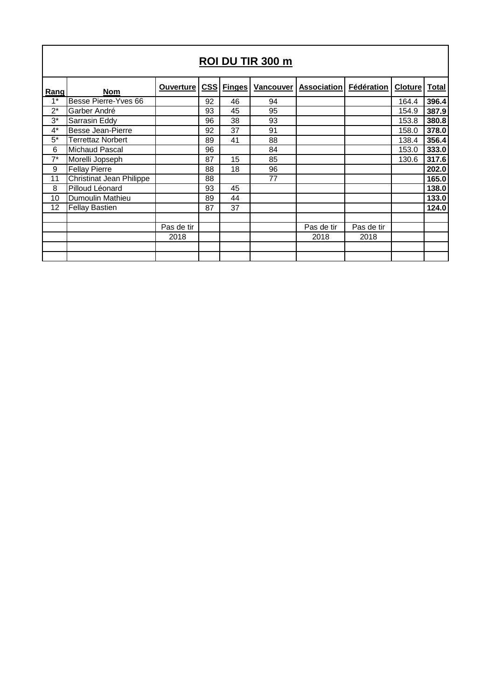| ROI DU TIR 300 m |                                 |                  |    |            |                  |                    |            |                |              |
|------------------|---------------------------------|------------------|----|------------|------------------|--------------------|------------|----------------|--------------|
| Rang             | <b>Nom</b>                      | <b>Ouverture</b> |    | CSS Finges | <b>Vancouver</b> | <b>Association</b> | Fédération | <b>Cloture</b> | <b>Total</b> |
| $1*$             | Besse Pierre-Yves 66            |                  | 92 | 46         | 94               |                    |            | 164.4          | 396.4        |
| $2^*$            | Garber André                    |                  | 93 | 45         | 95               |                    |            | 154.9          | 387.9        |
| $3^*$            | Sarrasin Eddy                   |                  | 96 | 38         | 93               |                    |            | 153.8          | 380.8        |
| $4^*$            | Besse Jean-Pierre               |                  | 92 | 37         | 91               |                    |            | 158.0          | 378.0        |
| $5^*$            | Terrettaz Norbert               |                  | 89 | 41         | 88               |                    |            | 138.4          | 356.4        |
| 6                | Michaud Pascal                  |                  | 96 |            | 84               |                    |            | 153.0          | 333.0        |
| $7^*$            | Morelli Jopseph                 |                  | 87 | 15         | 85               |                    |            | 130.6          | 317.6        |
| 9                | <b>Fellay Pierre</b>            |                  | 88 | 18         | 96               |                    |            |                | 202.0        |
| 11               | <b>Christinat Jean Philippe</b> |                  | 88 |            | 77               |                    |            |                | 165.0        |
| 8                | Pilloud Léonard                 |                  | 93 | 45         |                  |                    |            |                | 138.0        |
| 10               | Dumoulin Mathieu                |                  | 89 | 44         |                  |                    |            |                | 133.0        |
| 12               | <b>Fellay Bastien</b>           |                  | 87 | 37         |                  |                    |            |                | 124.0        |
|                  |                                 |                  |    |            |                  |                    |            |                |              |
|                  |                                 | Pas de tir       |    |            |                  | Pas de tir         | Pas de tir |                |              |
|                  |                                 | 2018             |    |            |                  | 2018               | 2018       |                |              |
|                  |                                 |                  |    |            |                  |                    |            |                |              |
|                  |                                 |                  |    |            |                  |                    |            |                |              |